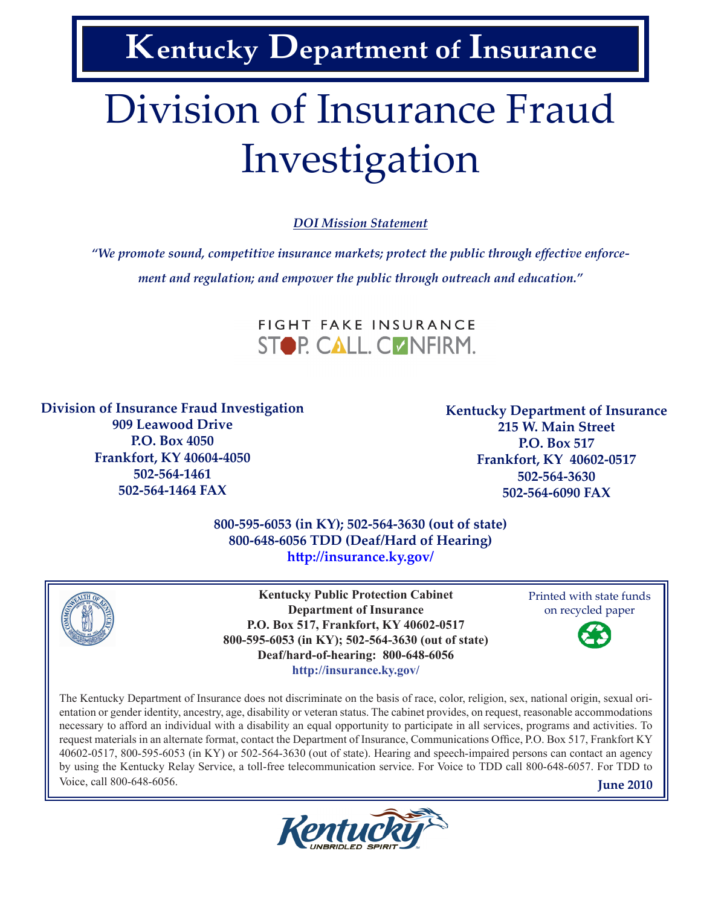**Kentucky Department of Insurance**

# Division of Insurance Fraud Investigation

*DOI Mission Statement*

*"We promote sound, competitive insurance markets; protect the public through effective enforcement and regulation; and empower the public through outreach and education."*



**Division of Insurance Fraud Investigation**

**909 Leawood Drive P.O. Box 4050 Frankfort, KY 40604-4050 502-564-1461 502-564-1464 FAX**

**Kentucky Department of Insurance 215 W. Main Street P.O. Box 517 Frankfort, KY 40602-0517 502-564-3630 502-564-6090 FAX**

**800-595-6053 (in KY); 502-564-3630 (out of state) 800-648-6056 TDD (Deaf/Hard of Hearing) http://insurance.ky.gov/**



**Kentucky Public Protection Cabinet Department of Insurance P.O. Box 517, Frankfort, KY 40602-0517 800-595-6053 (in KY); 502-564-3630 (out of state) Deaf/hard-of-hearing: 800-648-6056 http://insurance.ky.gov/**

Printed with state funds on recycled paper



The Kentucky Department of Insurance does not discriminate on the basis of race, color, religion, sex, national origin, sexual orientation or gender identity, ancestry, age, disability or veteran status. The cabinet provides, on request, reasonable accommodations necessary to afford an individual with a disability an equal opportunity to participate in all services, programs and activities. To request materials in an alternate format, contact the Department of Insurance, Communications Office, P.O. Box 517, Frankfort KY 40602-0517, 800-595-6053 (in KY) or 502-564-3630 (out of state). Hearing and speech-impaired persons can contact an agency by using the Kentucky Relay Service, a toll-free telecommunication service. For Voice to TDD call 800-648-6057. For TDD to Voice, call 800-648-6056. **June 2010**